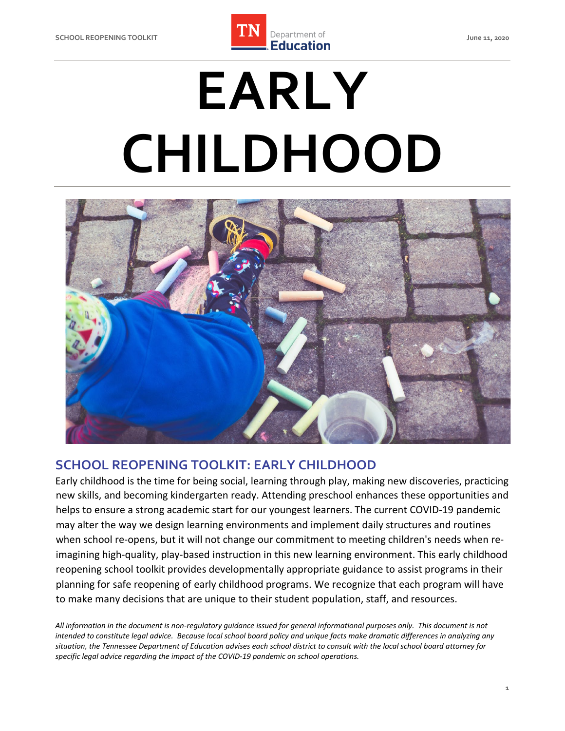

# **EARLY CHILDHOOD**



# **SCHOOL REOPENING TOOLKIT: EARLY CHILDHOOD**

 Early childhood is the time for being social, learning through play, making new discoveries, practicing new skills, and becoming kindergarten ready. Attending preschool enhances these opportunities and helps to ensure a strong academic start for our youngest learners. The current COVID-19 pandemic may alter the way we design learning environments and implement daily structures and routines when school re-opens, but it will not change our commitment to meeting children's needs when re- imagining high-quality, play-based instruction in this new learning environment. This early childhood reopening school toolkit provides developmentally appropriate guidance to assist programs in their planning for safe reopening of early childhood programs. We recognize that each program will have to make many decisions that are unique to their student population, staff, and resources.

 *All information in the document is non-regulatory guidance issued for general informational purposes only. This document is not intended to constitute legal advice. Because local school board policy and unique facts make dramatic differences in analyzing any situation, the Tennessee Department of Education advises each school district to consult with the local school board attorney for specific legal advice regarding the impact of the COVID-19 pandemic on school operations.*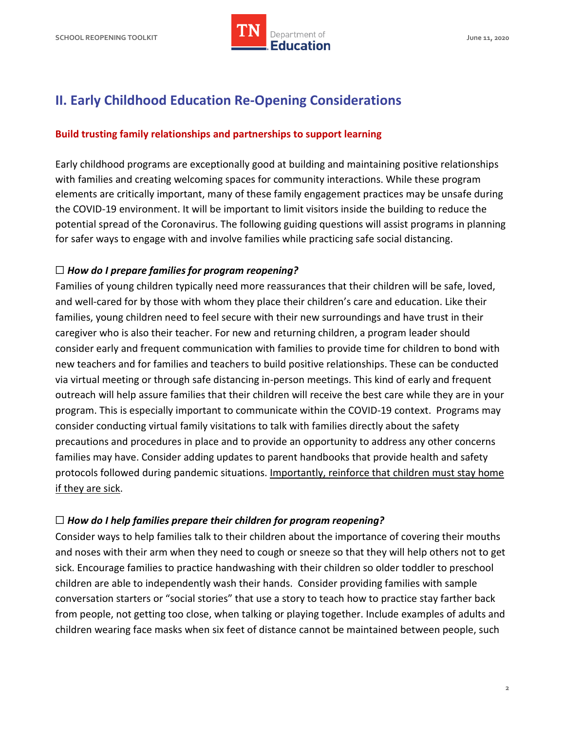# **II. Early Childhood Education Re-Opening Considerations**

## **Build trusting family relationships and partnerships to support learning**

 Early childhood programs are exceptionally good at building and maintaining positive relationships with families and creating welcoming spaces for community interactions. While these program elements are critically important, many of these family engagement practices may be unsafe during the COVID-19 environment. It will be important to limit visitors inside the building to reduce the potential spread of the Coronavirus. The following guiding questions will assist programs in planning for safer ways to engage with and involve families while practicing safe social distancing.

## ☐ *How do I prepare families for program reopening?*

 Families of young children typically need more reassurances that their children will be safe, loved, and well-cared for by those with whom they place their children's care and education. Like their families, young children need to feel secure with their new surroundings and have trust in their caregiver who is also their teacher. For new and returning children, a program leader should consider early and frequent communication with families to provide time for children to bond with new teachers and for families and teachers to build positive relationships. These can be conducted via virtual meeting or through safe distancing in-person meetings. This kind of early and frequent outreach will help assure families that their children will receive the best care while they are in your program. This is especially important to communicate within the COVID-19 context. Programs may consider conducting virtual family visitations to talk with families directly about the safety precautions and procedures in place and to provide an opportunity to address any other concerns families may have. Consider adding updates to parent handbooks that provide health and safety protocols followed during pandemic situations. Importantly, reinforce that children must stay home if they are sick.

# ☐ *How do I help families prepare their children for program reopening?*

 Consider ways to help families talk to their children about the importance of covering their mouths and noses with their arm when they need to cough or sneeze so that they will help others not to get sick. Encourage families to practice handwashing with their children so older toddler to preschool children are able to independently wash their hands. Consider providing families with sample conversation starters or "social stories" that use a story to teach how to practice stay farther back from people, not getting too close, when talking or playing together. Include examples of adults and children wearing face masks when six feet of distance cannot be maintained between people, such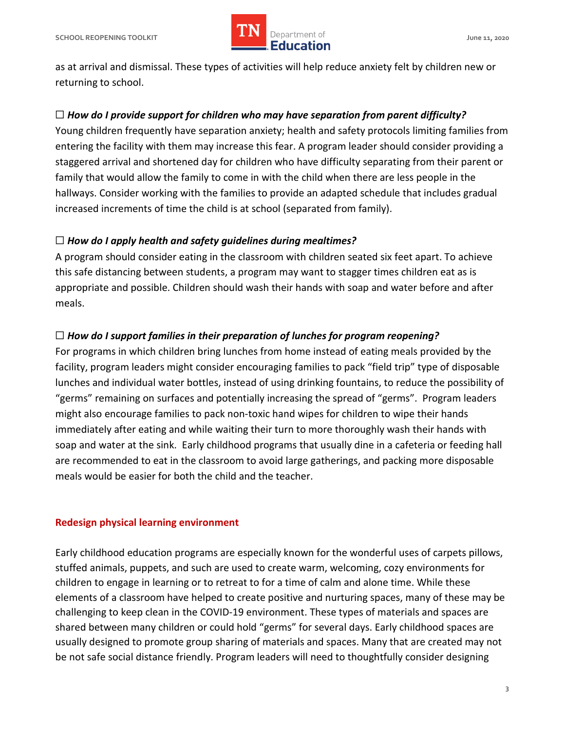

 as at arrival and dismissal. These types of activities will help reduce anxiety felt by children new or returning to school.

# ☐ *How do I provide support for children who may have separation from parent difficulty?*

 Young children frequently have separation anxiety; health and safety protocols limiting families from entering the facility with them may increase this fear. A program leader should consider providing a staggered arrival and shortened day for children who have difficulty separating from their parent or family that would allow the family to come in with the child when there are less people in the hallways. Consider working with the families to provide an adapted schedule that includes gradual increased increments of time the child is at school (separated from family).

# ☐ *How do I apply health and safety guidelines during mealtimes?*

 A program should consider eating in the classroom with children seated six feet apart. To achieve this safe distancing between students, a program may want to stagger times children eat as is appropriate and possible. Children should wash their hands with soap and water before and after meals.

# ☐ *How do I support families in their preparation of lunches for program reopening?*

 For programs in which children bring lunches from home instead of eating meals provided by the facility, program leaders might consider encouraging families to pack "field trip" type of disposable lunches and individual water bottles, instead of using drinking fountains, to reduce the possibility of "germs" remaining on surfaces and potentially increasing the spread of "germs". Program leaders might also encourage families to pack non-toxic hand wipes for children to wipe their hands immediately after eating and while waiting their turn to more thoroughly wash their hands with soap and water at the sink. Early childhood programs that usually dine in a cafeteria or feeding hall are recommended to eat in the classroom to avoid large gatherings, and packing more disposable meals would be easier for both the child and the teacher.

## **Redesign physical learning environment**

 Early childhood education programs are especially known for the wonderful uses of carpets pillows, stuffed animals, puppets, and such are used to create warm, welcoming, cozy environments for children to engage in learning or to retreat to for a time of calm and alone time. While these elements of a classroom have helped to create positive and nurturing spaces, many of these may be challenging to keep clean in the COVID-19 environment. These types of materials and spaces are shared between many children or could hold "germs" for several days. Early childhood spaces are usually designed to promote group sharing of materials and spaces. Many that are created may not be not safe social distance friendly. Program leaders will need to thoughtfully consider designing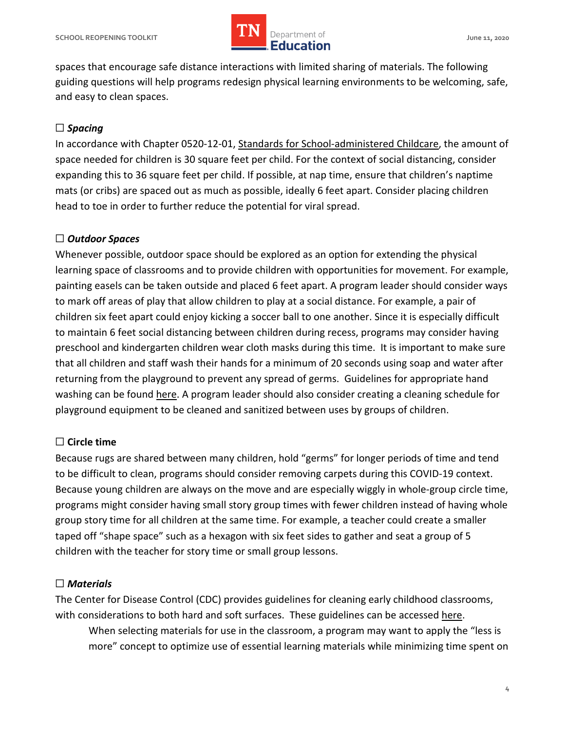

 spaces that encourage safe distance interactions with limited sharing of materials. The following guiding questions will help programs redesign physical learning environments to be welcoming, safe, and easy to clean spaces.

# ☐ *Spacing*

In accordance with Chapter 0520-12-01, [Standards for School-administered Childcare,](https://www.tn.gov/content/dam/tn/stateboardofeducation/documents/pendingrules/0520-12-01%20Standards%20for%20School%20Administered%20Child%20Care%20Programs%2010-19-18.pdf) the amount of space needed for children is 30 square feet per child. For the context of social distancing, consider expanding this to 36 square feet per child. If possible, at nap time, ensure that children's naptime mats (or cribs) are spaced out as much as possible, ideally 6 feet apart. Consider placing children head to toe in order to further reduce the potential for viral spread.

# ☐ *Outdoor Spaces*

 Whenever possible, outdoor space should be explored as an option for extending the physical learning space of classrooms and to provide children with opportunities for movement. For example, painting easels can be taken outside and placed 6 feet apart. A program leader should consider ways to mark off areas of play that allow children to play at a social distance. For example, a pair of children six feet apart could enjoy kicking a soccer ball to one another. Since it is especially difficult to maintain 6 feet social distancing between children during recess, programs may consider having preschool and kindergarten children wear cloth masks during this time. It is important to make sure that all children and staff wash their hands for a minimum of 20 seconds using soap and water after returning from the playground to prevent any spread of germs. Guidelines for appropriate hand washing can be found [here.](https://www.tn.gov/content/dam/tn/education/health-&-safety/Handwashing%20Best%20Practices.pdf) A program leader should also consider creating a cleaning schedule for playground equipment to be cleaned and sanitized between uses by groups of children.

## ☐ **Circle time**

 Because rugs are shared between many children, hold "germs" for longer periods of time and tend to be difficult to clean, programs should consider removing carpets during this COVID-19 context. Because young children are always on the move and are especially wiggly in whole-group circle time, programs might consider having small story group times with fewer children instead of having whole group story time for all children at the same time. For example, a teacher could create a smaller taped off "shape space" such as a hexagon with six feet sides to gather and seat a group of 5 children with the teacher for story time or small group lessons.

# ☐ *Materials*

 The Center for Disease Control (CDC) provides guidelines for cleaning early childhood classrooms, with considerations to both hard and soft surfaces. These guidelines can be accessed [here.](https://www.cdc.gov/coronavirus/2019-ncov/community/schools-childcare/guidance-for-childcare.html#CleanDisinfect)

 When selecting materials for use in the classroom, a program may want to apply the "less is more" concept to optimize use of essential learning materials while minimizing time spent on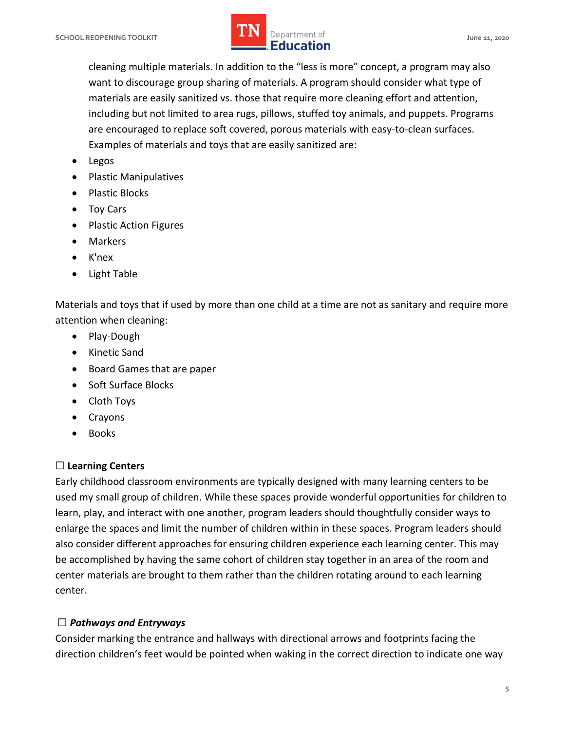want to discourage group sharing of materials. A program should consider what type of including but not limited to area rugs, pillows, stuffed toy animals, and puppets. Programs are encouraged to replace soft covered, porous materials with easy-to-clean surfaces. cleaning multiple materials. In addition to the "less is more" concept, a program may also materials are easily sanitized vs. those that require more cleaning effort and attention, Examples of materials and toys that are easily sanitized are:

- Legos
- Plastic Manipulatives
- Plastic Blocks
- Toy Cars
- Plastic Action Figures
- Markers
- K'nex
- Light Table

 Materials and toys that if used by more than one child at a time are not as sanitary and require more attention when cleaning:

- Play-Dough
- Kinetic Sand
- Board Games that are paper
- Soft Surface Blocks
- Cloth Toys
- Crayons
- Books

## ☐ **Learning Centers**

 Early childhood classroom environments are typically designed with many learning centers to be used my small group of children. While these spaces provide wonderful opportunities for children to learn, play, and interact with one another, program leaders should thoughtfully consider ways to enlarge the spaces and limit the number of children within in these spaces. Program leaders should also consider different approaches for ensuring children experience each learning center. This may be accomplished by having the same cohort of children stay together in an area of the room and center materials are brought to them rather than the children rotating around to each learning center.

# ☐ *Pathways and Entryways*

 Consider marking the entrance and hallways with directional arrows and footprints facing the direction children's feet would be pointed when waking in the correct direction to indicate one way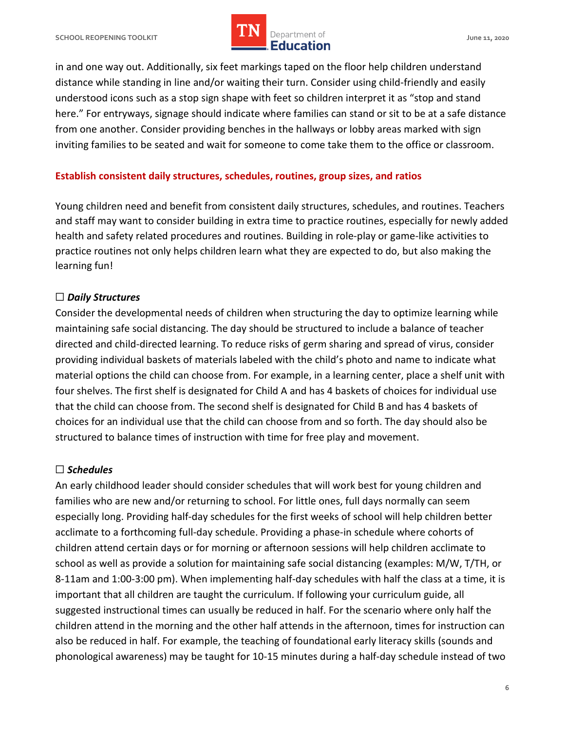in and one way out. Additionally, six feet markings taped on the floor help children understand distance while standing in line and/or waiting their turn. Consider using child-friendly and easily understood icons such as a stop sign shape with feet so children interpret it as "stop and stand here." For entryways, signage should indicate where families can stand or sit to be at a safe distance from one another. Consider providing benches in the hallways or lobby areas marked with sign inviting families to be seated and wait for someone to come take them to the office or classroom.

## **Establish consistent daily structures, schedules, routines, group sizes, and ratios**

 Young children need and benefit from consistent daily structures, schedules, and routines. Teachers and staff may want to consider building in extra time to practice routines, especially for newly added health and safety related procedures and routines. Building in role-play or game-like activities to practice routines not only helps children learn what they are expected to do, but also making the learning fun!

## ☐ *Daily Structures*

 Consider the developmental needs of children when structuring the day to optimize learning while maintaining safe social distancing. The day should be structured to include a balance of teacher directed and child-directed learning. To reduce risks of germ sharing and spread of virus, consider providing individual baskets of materials labeled with the child's photo and name to indicate what material options the child can choose from. For example, in a learning center, place a shelf unit with four shelves. The first shelf is designated for Child A and has 4 baskets of choices for individual use that the child can choose from. The second shelf is designated for Child B and has 4 baskets of choices for an individual use that the child can choose from and so forth. The day should also be structured to balance times of instruction with time for free play and movement.

## ☐ *Schedules*

 An early childhood leader should consider schedules that will work best for young children and families who are new and/or returning to school. For little ones, full days normally can seem especially long. Providing half-day schedules for the first weeks of school will help children better acclimate to a forthcoming full-day schedule. Providing a phase-in schedule where cohorts of children attend certain days or for morning or afternoon sessions will help children acclimate to school as well as provide a solution for maintaining safe social distancing (examples: M/W, T/TH, or 8-11am and 1:00-3:00 pm). When implementing half-day schedules with half the class at a time, it is important that all children are taught the curriculum. If following your curriculum guide, all suggested instructional times can usually be reduced in half. For the scenario where only half the children attend in the morning and the other half attends in the afternoon, times for instruction can also be reduced in half. For example, the teaching of foundational early literacy skills (sounds and phonological awareness) may be taught for 10-15 minutes during a half-day schedule instead of two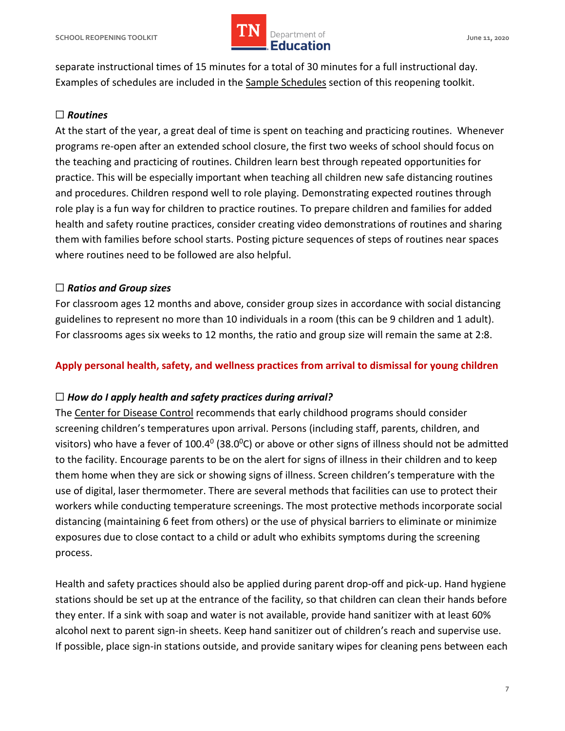

 separate instructional times of 15 minutes for a total of 30 minutes for a full instructional day. Examples of schedules are included in the [Sample Schedules](#page-13-0) section of this reopening toolkit.

# ☐ *Routines*

 At the start of the year, a great deal of time is spent on teaching and practicing routines. Whenever programs re-open after an extended school closure, the first two weeks of school should focus on the teaching and practicing of routines. Children learn best through repeated opportunities for practice. This will be especially important when teaching all children new safe distancing routines and procedures. Children respond well to role playing. Demonstrating expected routines through role play is a fun way for children to practice routines. To prepare children and families for added health and safety routine practices, consider creating video demonstrations of routines and sharing them with families before school starts. Posting picture sequences of steps of routines near spaces where routines need to be followed are also helpful.

# ☐ *Ratios and Group sizes*

 For classroom ages 12 months and above, consider group sizes in accordance with social distancing guidelines to represent no more than 10 individuals in a room (this can be 9 children and 1 adult). For classrooms ages six weeks to 12 months, the ratio and group size will remain the same at 2:8.

## **Apply personal health, safety, and wellness practices from arrival to dismissal for young children**

## ☐ *How do I apply health and safety practices during arrival?*

The [Center for Disease Control](https://www.cdc.gov/) recommends that early childhood programs should consider screening children's temperatures upon arrival. Persons (including staff, parents, children, and visitors) who have a fever of 100.4<sup>0</sup> (38.0<sup>0</sup>C) or above or other signs of illness should not be admitted to the facility. Encourage parents to be on the alert for signs of illness in their children and to keep them home when they are sick or showing signs of illness. Screen children's temperature with the use of digital, laser thermometer. There are several methods that facilities can use to protect their workers while conducting temperature screenings. The most protective methods incorporate social distancing (maintaining 6 feet from others) or the use of physical barriers to eliminate or minimize exposures due to close contact to a child or adult who exhibits symptoms during the screening process.

 Health and safety practices should also be applied during parent drop-off and pick-up. Hand hygiene stations should be set up at the entrance of the facility, so that children can clean their hands before they enter. If a sink with soap and water is not available, provide hand sanitizer with at least 60% alcohol next to parent sign-in sheets. Keep hand sanitizer out of children's reach and supervise use. If possible, place sign-in stations outside, and provide sanitary wipes for cleaning pens between each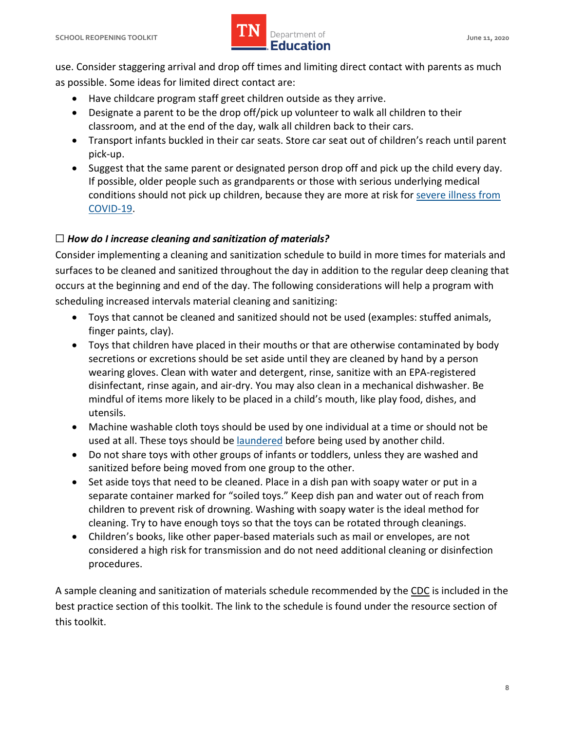

 use. Consider staggering arrival and drop off times and limiting direct contact with parents as much as possible. Some ideas for limited direct contact are:

- Have childcare program staff greet children outside as they arrive.
- Designate a parent to be the drop off/pick up volunteer to walk all children to their classroom, and at the end of the day, walk all children back to their cars.
- • Transport infants buckled in their car seats. Store car seat out of children's reach until parent pick-up.
- • Suggest that the same parent or designated person drop off and pick up the child every day. If possible, older people such as grandparents or those with serious underlying medical conditions should not pick up children, because they are more at risk for [severe illness from](https://www.cdc.gov/coronavirus/2019-ncov/specific-groups/high-risk-complications.html) [COVID-19.](https://www.cdc.gov/coronavirus/2019-ncov/specific-groups/high-risk-complications.html)

# ☐ *How do I increase cleaning and sanitization of materials?*

 Consider implementing a cleaning and sanitization schedule to build in more times for materials and surfaces to be cleaned and sanitized throughout the day in addition to the regular deep cleaning that occurs at the beginning and end of the day. The following considerations will help a program with scheduling increased intervals material cleaning and sanitizing:

- Toys that cannot be cleaned and sanitized should not be used (examples: stuffed animals, finger paints, clay).
- secretions or excretions should be set aside until they are cleaned by hand by a person • Toys that children have placed in their mouths or that are otherwise contaminated by body wearing gloves. Clean with water and detergent, rinse, sanitize with an EPA-registered disinfectant, rinse again, and air-dry. You may also clean in a mechanical dishwasher. Be mindful of items more likely to be placed in a child's mouth, like play food, dishes, and utensils.
- used at all. These toys should b[e laundered](https://www.cdc.gov/coronavirus/2019-ncov/daily-life-coping/children.html) before being used by another child. • Machine washable cloth toys should be used by one individual at a time or should not be
- • Do not share toys with other groups of infants or toddlers, unless they are washed and sanitized before being moved from one group to the other.
- • Set aside toys that need to be cleaned. Place in a dish pan with soapy water or put in a separate container marked for "soiled toys." Keep dish pan and water out of reach from cleaning. Try to have enough toys so that the toys can be rotated through cleanings. children to prevent risk of drowning. Washing with soapy water is the ideal method for
- • Children's books, like other paper-based materials such as mail or envelopes, are not considered a high risk for transmission and do not need additional cleaning or disinfection procedures.

A sample cleaning and sanitization of materials schedule recommended by the [CDC](https://www.cdc.gov/) is included in the best practice section of this toolkit. The link to the schedule is found under the resource section of this toolkit.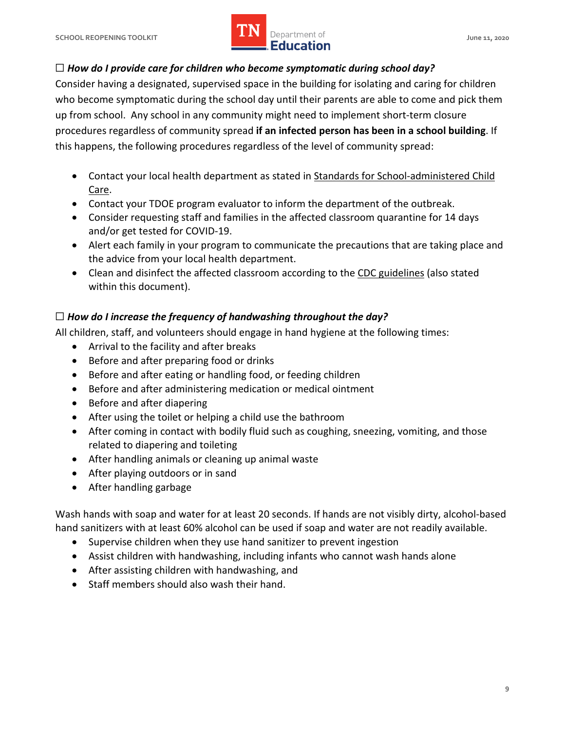

# ☐ *How do I provide care for children who become symptomatic during school day?*

 Consider having a designated, supervised space in the building for isolating and caring for children who become symptomatic during the school day until their parents are able to come and pick them up from school. Any school in any community might need to implement short-term closure procedures regardless of community spread **if an infected person has been in a school building**. If this happens, the following procedures regardless of the level of community spread:

- Contact your local health department as stated in [Standards for School-administered Child](https://www.tn.gov/content/dam/tn/stateboardofeducation/documents/pendingrules/0520-12-01%20Standards%20for%20School%20Administered%20Child%20Care%20Programs%2010-19-18.pdf) [Care.](https://www.tn.gov/content/dam/tn/stateboardofeducation/documents/pendingrules/0520-12-01%20Standards%20for%20School%20Administered%20Child%20Care%20Programs%2010-19-18.pdf)
- Contact your TDOE program evaluator to inform the department of the outbreak.
- and/or get tested for COVID-19. • Consider requesting staff and families in the affected classroom quarantine for 14 days
- Alert each family in your program to communicate the precautions that are taking place and the advice from your local health department.
- Clean and disinfect the affected classroom according to th[e CDC guidelines](https://www.cdc.gov/) (also stated within this document).

# ☐ *How do I increase the frequency of handwashing throughout the day?*

All children, staff, and volunteers should engage in hand hygiene at the following times:

- Arrival to the facility and after breaks
- Before and after preparing food or drinks
- Before and after eating or handling food, or feeding children
- Before and after administering medication or medical ointment
- Before and after diapering
- After using the toilet or helping a child use the bathroom
- • After coming in contact with bodily fluid such as coughing, sneezing, vomiting, and those related to diapering and toileting
- After handling animals or cleaning up animal waste
- After playing outdoors or in sand
- After handling garbage

 Wash hands with soap and water for at least 20 seconds. If hands are not visibly dirty, alcohol-based hand sanitizers with at least 60% alcohol can be used if soap and water are not readily available.

- Supervise children when they use hand sanitizer to prevent ingestion
- Assist children with handwashing, including infants who cannot wash hands alone
- After assisting children with handwashing, and
- Staff members should also wash their hand.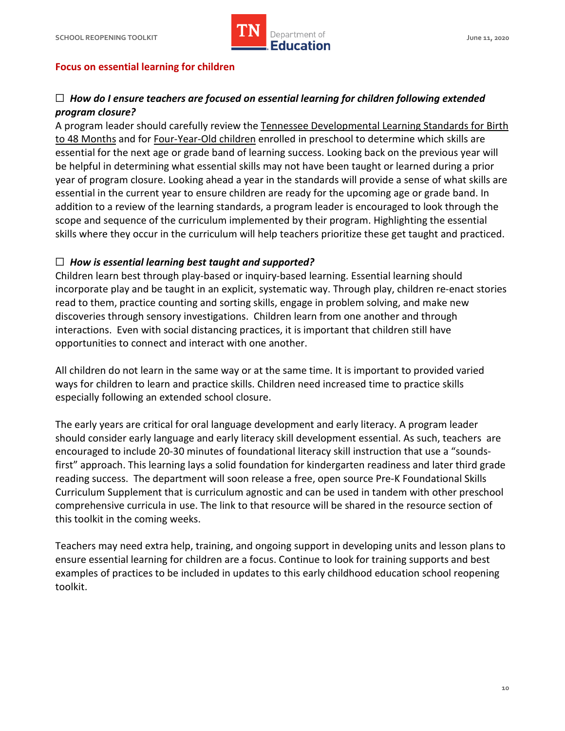

## **Focus on essential learning for children**

# ☐ *How do I ensure teachers are focused on essential learning for children following extended program closure?*

A program leader should carefully review th[e Tennessee Developmental Learning Standards for Birth](https://www.tn.gov/content/dam/tn/education/standards/tnelds/std_tnelds_birth-4yo.pdf) [to 48 Months](https://www.tn.gov/content/dam/tn/education/standards/tnelds/std_tnelds_birth-4yo.pdf) and for [Four-Year-Old children](https://www.tn.gov/content/dam/tn/education/standards/tnelds/std_tnelds_4yo_2018.pdf) enrolled in preschool to determine which skills are essential for the next age or grade band of learning success. Looking back on the previous year will be helpful in determining what essential skills may not have been taught or learned during a prior year of program closure. Looking ahead a year in the standards will provide a sense of what skills are addition to a review of the learning standards, a program leader is encouraged to look through the scope and sequence of the curriculum implemented by their program. Highlighting the essential skills where they occur in the curriculum will help teachers prioritize these get taught and practiced. essential in the current year to ensure children are ready for the upcoming age or grade band. In

# ☐ *How is essential learning best taught and supported?*

 Children learn best through play-based or inquiry-based learning. Essential learning should incorporate play and be taught in an explicit, systematic way. Through play, children re-enact stories read to them, practice counting and sorting skills, engage in problem solving, and make new discoveries through sensory investigations. Children learn from one another and through interactions. Even with social distancing practices, it is important that children still have opportunities to connect and interact with one another.

 All children do not learn in the same way or at the same time. It is important to provided varied ways for children to learn and practice skills. Children need increased time to practice skills especially following an extended school closure.

 The early years are critical for oral language development and early literacy. A program leader should consider early language and early literacy skill development essential. As such, teachers are encouraged to include 20-30 minutes of foundational literacy skill instruction that use a "sounds- first" approach. This learning lays a solid foundation for kindergarten readiness and later third grade reading success. The department will soon release a free, open source Pre-K Foundational Skills Curriculum Supplement that is curriculum agnostic and can be used in tandem with other preschool comprehensive curricula in use. The link to that resource will be shared in the resource section of this toolkit in the coming weeks.

 Teachers may need extra help, training, and ongoing support in developing units and lesson plans to ensure essential learning for children are a focus. Continue to look for training supports and best examples of practices to be included in updates to this early childhood education school reopening toolkit.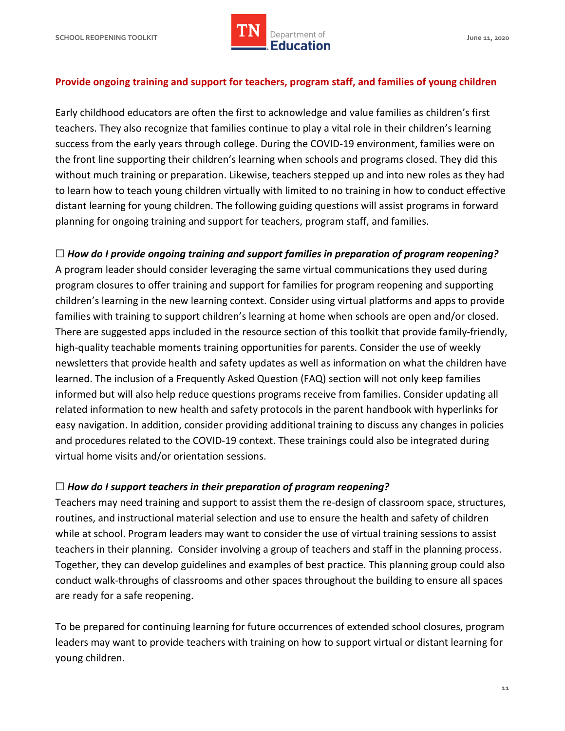# **SCHOOL REOPENING TOOLKIT SCHOOL ASSESSED ASSESSED AT A PROPERTY OF A SERVICE OF A SERVICE OF A SCHOOL AND A June 11, 2020** Department of **IMPLE Department of**

## **Provide ongoing training and support for teachers, program staff, and families of young children**

 Early childhood educators are often the first to acknowledge and value families as children's first teachers. They also recognize that families continue to play a vital role in their children's learning success from the early years through college. During the COVID-19 environment, families were on the front line supporting their children's learning when schools and programs closed. They did this without much training or preparation. Likewise, teachers stepped up and into new roles as they had to learn how to teach young children virtually with limited to no training in how to conduct effective distant learning for young children. The following guiding questions will assist programs in forward planning for ongoing training and support for teachers, program staff, and families.

# ☐ *How do I provide ongoing training and support families in preparation of program reopening?*

 A program leader should consider leveraging the same virtual communications they used during program closures to offer training and support for families for program reopening and supporting children's learning in the new learning context. Consider using virtual platforms and apps to provide families with training to support children's learning at home when schools are open and/or closed. There are suggested apps included in the resource section of this toolkit that provide family-friendly, high-quality teachable moments training opportunities for parents. Consider the use of weekly newsletters that provide health and safety updates as well as information on what the children have learned. The inclusion of a Frequently Asked Question (FAQ) section will not only keep families informed but will also help reduce questions programs receive from families. Consider updating all related information to new health and safety protocols in the parent handbook with hyperlinks for easy navigation. In addition, consider providing additional training to discuss any changes in policies and procedures related to the COVID-19 context. These trainings could also be integrated during virtual home visits and/or orientation sessions.

# ☐ *How do I support teachers in their preparation of program reopening?*

 Teachers may need training and support to assist them the re-design of classroom space, structures, routines, and instructional material selection and use to ensure the health and safety of children while at school. Program leaders may want to consider the use of virtual training sessions to assist teachers in their planning. Consider involving a group of teachers and staff in the planning process. Together, they can develop guidelines and examples of best practice. This planning group could also conduct walk-throughs of classrooms and other spaces throughout the building to ensure all spaces are ready for a safe reopening.

 To be prepared for continuing learning for future occurrences of extended school closures, program leaders may want to provide teachers with training on how to support virtual or distant learning for young children.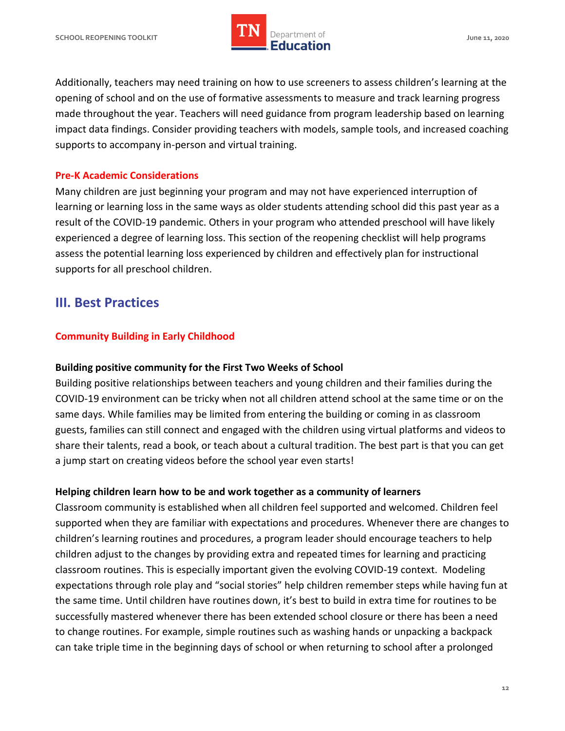

 Additionally, teachers may need training on how to use screeners to assess children's learning at the opening of school and on the use of formative assessments to measure and track learning progress made throughout the year. Teachers will need guidance from program leadership based on learning impact data findings. Consider providing teachers with models, sample tools, and increased coaching supports to accompany in-person and virtual training.

## **Pre-K Academic Considerations**

 Many children are just beginning your program and may not have experienced interruption of learning or learning loss in the same ways as older students attending school did this past year as a result of the COVID-19 pandemic. Others in your program who attended preschool will have likely experienced a degree of learning loss. This section of the reopening checklist will help programs assess the potential learning loss experienced by children and effectively plan for instructional supports for all preschool children.

# **III. Best Practices**

## **Community Building in Early Childhood**

## **Building positive community for the First Two Weeks of School**

 Building positive relationships between teachers and young children and their families during the COVID-19 environment can be tricky when not all children attend school at the same time or on the same days. While families may be limited from entering the building or coming in as classroom guests, families can still connect and engaged with the children using virtual platforms and videos to share their talents, read a book, or teach about a cultural tradition. The best part is that you can get a jump start on creating videos before the school year even starts!

## **Helping children learn how to be and work together as a community of learners**

 Classroom community is established when all children feel supported and welcomed. Children feel supported when they are familiar with expectations and procedures. Whenever there are changes to children's learning routines and procedures, a program leader should encourage teachers to help children adjust to the changes by providing extra and repeated times for learning and practicing classroom routines. This is especially important given the evolving COVID-19 context. Modeling expectations through role play and "social stories" help children remember steps while having fun at the same time. Until children have routines down, it's best to build in extra time for routines to be successfully mastered whenever there has been extended school closure or there has been a need to change routines. For example, simple routines such as washing hands or unpacking a backpack can take triple time in the beginning days of school or when returning to school after a prolonged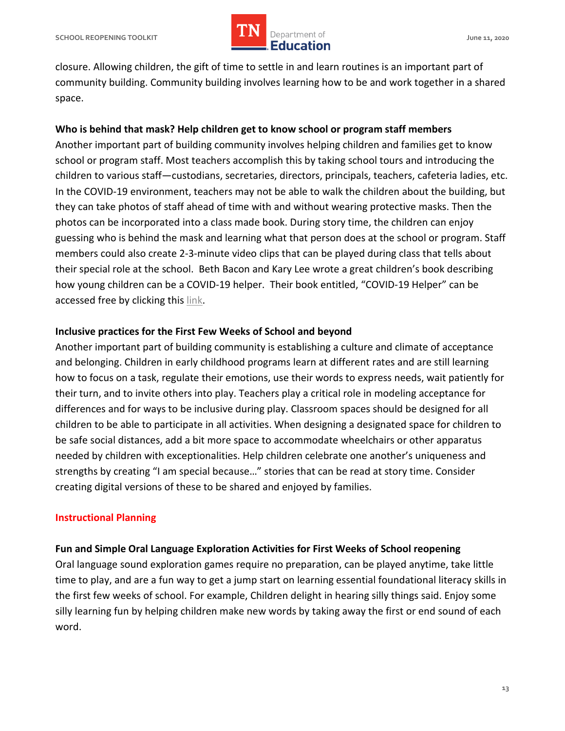

 closure. Allowing children, the gift of time to settle in and learn routines is an important part of community building. Community building involves learning how to be and work together in a shared space.

## **Who is behind that mask? Help children get to know school or program staff members**

 Another important part of building community involves helping children and families get to know school or program staff. Most teachers accomplish this by taking school tours and introducing the children to various staff—custodians, secretaries, directors, principals, teachers, cafeteria ladies, etc. In the COVID-19 environment, teachers may not be able to walk the children about the building, but they can take photos of staff ahead of time with and without wearing protective masks. Then the photos can be incorporated into a class made book. During story time, the children can enjoy guessing who is behind the mask and learning what that person does at the school or program. Staff members could also create 2-3-minute video clips that can be played during class that tells about their special role at the school. Beth Bacon and Kary Lee wrote a great children's book describing how young children can be a COVID-19 helper. Their book entitled, "COVID-19 Helper" can be accessed free by clicking this [link.](http://www.globalhealth.emory.edu/pdfs/Covid-19-Helpers-Author-Beth-Bacon-Illustrator-Kary-Lee_opt.pdf)

## **Inclusive practices for the First Few Weeks of School and beyond**

 Another important part of building community is establishing a culture and climate of acceptance and belonging. Children in early childhood programs learn at different rates and are still learning how to focus on a task, regulate their emotions, use their words to express needs, wait patiently for their turn, and to invite others into play. Teachers play a critical role in modeling acceptance for differences and for ways to be inclusive during play. Classroom spaces should be designed for all children to be able to participate in all activities. When designing a designated space for children to be safe social distances, add a bit more space to accommodate wheelchairs or other apparatus needed by children with exceptionalities. Help children celebrate one another's uniqueness and strengths by creating "I am special because…" stories that can be read at story time. Consider creating digital versions of these to be shared and enjoyed by families.

## **Instructional Planning**

## **Fun and Simple Oral Language Exploration Activities for First Weeks of School reopening**

 Oral language sound exploration games require no preparation, can be played anytime, take little time to play, and are a fun way to get a jump start on learning essential foundational literacy skills in the first few weeks of school. For example, Children delight in hearing silly things said. Enjoy some silly learning fun by helping children make new words by taking away the first or end sound of each word.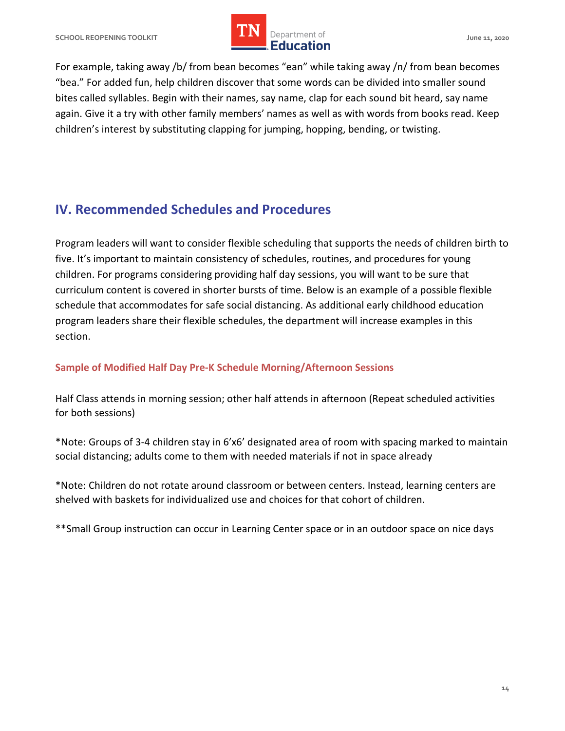For example, taking away /b/ from bean becomes "ean" while taking away /n/ from bean becomes "bea." For added fun, help children discover that some words can be divided into smaller sound bites called syllables. Begin with their names, say name, clap for each sound bit heard, say name again. Give it a try with other family members' names as well as with words from books read. Keep children's interest by substituting clapping for jumping, hopping, bending, or twisting.

# <span id="page-13-0"></span> **IV. Recommended Schedules and Procedures**

 Program leaders will want to consider flexible scheduling that supports the needs of children birth to five. It's important to maintain consistency of schedules, routines, and procedures for young children. For programs considering providing half day sessions, you will want to be sure that curriculum content is covered in shorter bursts of time. Below is an example of a possible flexible schedule that accommodates for safe social distancing. As additional early childhood education program leaders share their flexible schedules, the department will increase examples in this section.

## **Sample of Modified Half Day Pre-K Schedule Morning/Afternoon Sessions**

 Half Class attends in morning session; other half attends in afternoon (Repeat scheduled activities for both sessions)

 \*Note: Groups of 3-4 children stay in 6'x6' designated area of room with spacing marked to maintain social distancing; adults come to them with needed materials if not in space already

 \*Note: Children do not rotate around classroom or between centers. Instead, learning centers are shelved with baskets for individualized use and choices for that cohort of children.

\*\*Small Group instruction can occur in Learning Center space or in an outdoor space on nice days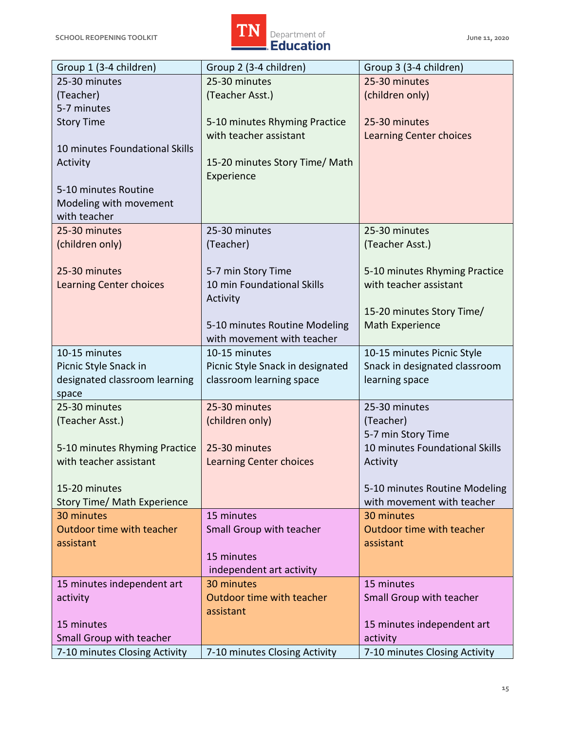

| Group 1 (3-4 children)             | Group 2 (3-4 children)           | Group 3 (3-4 children)         |  |  |
|------------------------------------|----------------------------------|--------------------------------|--|--|
| 25-30 minutes                      | 25-30 minutes                    | 25-30 minutes                  |  |  |
| (Teacher)                          | (Teacher Asst.)                  | (children only)                |  |  |
| 5-7 minutes                        |                                  |                                |  |  |
| <b>Story Time</b>                  | 5-10 minutes Rhyming Practice    | 25-30 minutes                  |  |  |
|                                    | with teacher assistant           | <b>Learning Center choices</b> |  |  |
| 10 minutes Foundational Skills     |                                  |                                |  |  |
| Activity                           | 15-20 minutes Story Time/ Math   |                                |  |  |
|                                    | Experience                       |                                |  |  |
| 5-10 minutes Routine               |                                  |                                |  |  |
| Modeling with movement             |                                  |                                |  |  |
| with teacher                       |                                  |                                |  |  |
| 25-30 minutes                      | 25-30 minutes                    | 25-30 minutes                  |  |  |
| (children only)                    | (Teacher)                        | (Teacher Asst.)                |  |  |
|                                    |                                  |                                |  |  |
| 25-30 minutes                      | 5-7 min Story Time               | 5-10 minutes Rhyming Practice  |  |  |
| <b>Learning Center choices</b>     | 10 min Foundational Skills       | with teacher assistant         |  |  |
|                                    | Activity                         |                                |  |  |
|                                    |                                  | 15-20 minutes Story Time/      |  |  |
|                                    | 5-10 minutes Routine Modeling    | Math Experience                |  |  |
|                                    | with movement with teacher       |                                |  |  |
| 10-15 minutes                      | 10-15 minutes                    | 10-15 minutes Picnic Style     |  |  |
| Picnic Style Snack in              | Picnic Style Snack in designated | Snack in designated classroom  |  |  |
| designated classroom learning      | classroom learning space         | learning space                 |  |  |
| space                              |                                  |                                |  |  |
| 25-30 minutes                      | 25-30 minutes                    | 25-30 minutes                  |  |  |
| (Teacher Asst.)                    | (children only)                  | (Teacher)                      |  |  |
|                                    |                                  | 5-7 min Story Time             |  |  |
| 5-10 minutes Rhyming Practice      | 25-30 minutes                    | 10 minutes Foundational Skills |  |  |
| with teacher assistant             |                                  |                                |  |  |
|                                    | <b>Learning Center choices</b>   | Activity                       |  |  |
| 15-20 minutes                      |                                  | 5-10 minutes Routine Modeling  |  |  |
| <b>Story Time/ Math Experience</b> |                                  | with movement with teacher     |  |  |
| 30 minutes                         | 15 minutes                       | 30 minutes                     |  |  |
| Outdoor time with teacher          | Small Group with teacher         | Outdoor time with teacher      |  |  |
| assistant                          |                                  | assistant                      |  |  |
|                                    | 15 minutes                       |                                |  |  |
|                                    | independent art activity         |                                |  |  |
| 15 minutes independent art         | 30 minutes                       | 15 minutes                     |  |  |
| activity                           | Outdoor time with teacher        | Small Group with teacher       |  |  |
|                                    | assistant                        |                                |  |  |
| 15 minutes                         |                                  | 15 minutes independent art     |  |  |
| Small Group with teacher           |                                  | activity                       |  |  |
|                                    |                                  | 7-10 minutes Closing Activity  |  |  |
| 7-10 minutes Closing Activity      | 7-10 minutes Closing Activity    |                                |  |  |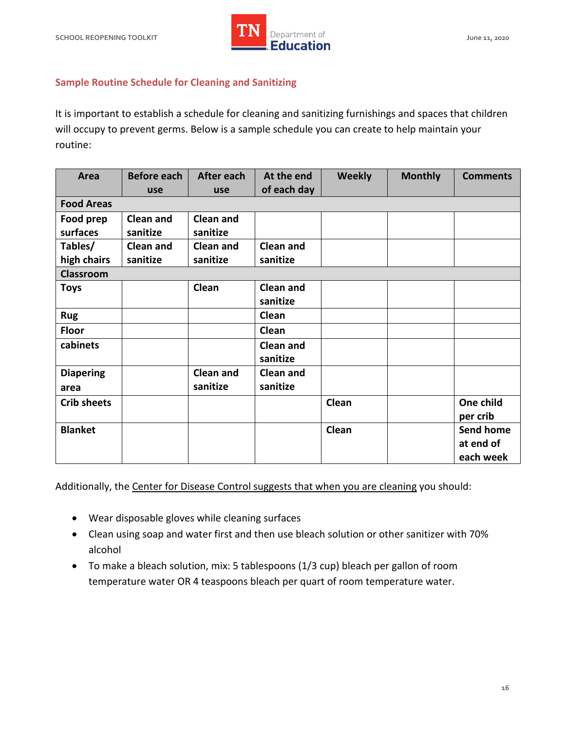

## **Sample Routine Schedule for Cleaning and Sanitizing**

 It is important to establish a schedule for cleaning and sanitizing furnishings and spaces that children will occupy to prevent germs. Below is a sample schedule you can create to help maintain your routine:

| Area               | <b>Before each</b> | After each       | At the end       | <b>Weekly</b> | <b>Monthly</b> | <b>Comments</b>  |
|--------------------|--------------------|------------------|------------------|---------------|----------------|------------------|
|                    | use                | use              | of each day      |               |                |                  |
| <b>Food Areas</b>  |                    |                  |                  |               |                |                  |
| Food prep          | Clean and          | <b>Clean and</b> |                  |               |                |                  |
| surfaces           | sanitize           | sanitize         |                  |               |                |                  |
| Tables/            | <b>Clean and</b>   | <b>Clean and</b> | <b>Clean and</b> |               |                |                  |
| high chairs        | sanitize           | sanitize         | sanitize         |               |                |                  |
| <b>Classroom</b>   |                    |                  |                  |               |                |                  |
| <b>Toys</b>        |                    | Clean            | <b>Clean and</b> |               |                |                  |
|                    |                    |                  | sanitize         |               |                |                  |
| <b>Rug</b>         |                    |                  | Clean            |               |                |                  |
| <b>Floor</b>       |                    |                  | Clean            |               |                |                  |
| cabinets           |                    |                  | <b>Clean and</b> |               |                |                  |
|                    |                    |                  | sanitize         |               |                |                  |
| <b>Diapering</b>   |                    | <b>Clean and</b> | <b>Clean and</b> |               |                |                  |
| area               |                    | sanitize         | sanitize         |               |                |                  |
| <b>Crib sheets</b> |                    |                  |                  | Clean         |                | One child        |
|                    |                    |                  |                  |               |                | per crib         |
| <b>Blanket</b>     |                    |                  |                  | Clean         |                | <b>Send home</b> |
|                    |                    |                  |                  |               |                | at end of        |
|                    |                    |                  |                  |               |                | each week        |

Additionally, the [Center for Disease Control suggests t](https://www.cdc.gov/coronavirus/2019-ncov/community/schools-childcare/guidance-for-childcare.html#CleanDisinfect)hat when you are cleaning you should:

- Wear disposable gloves while cleaning surfaces
- Clean using soap and water first and then use bleach solution or other sanitizer with 70% alcohol
- • To make a bleach solution, mix: 5 tablespoons (1/3 cup) bleach per gallon of room temperature water OR 4 teaspoons bleach per quart of room temperature water.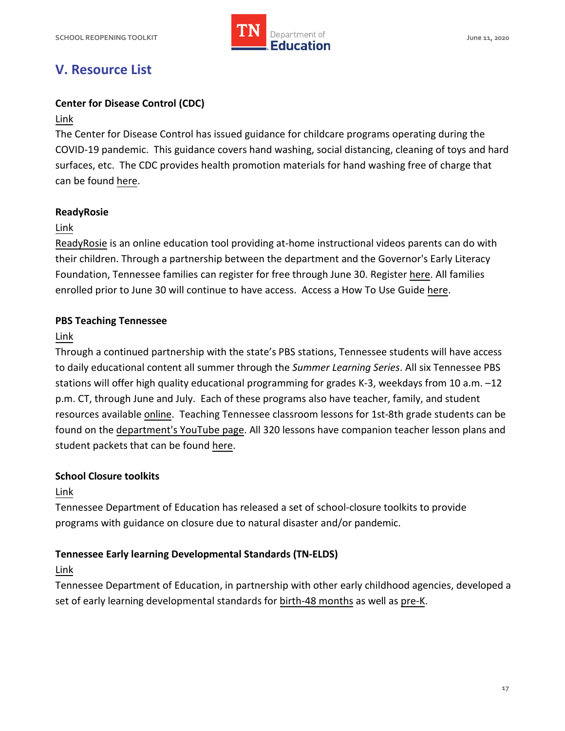

# **V. Resource List**

## **Center for Disease Control (CDC)**

## [Link](https://www.cdc.gov/coronavirus/2019-ncov/community/schools-childcare/guidance-for-childcare.html)

 The Center for Disease Control has issued guidance for childcare programs operating during the COVID-19 pandemic. This guidance covers hand washing, social distancing, cleaning of toys and hard surfaces, etc. The CDC provides health promotion materials for hand washing free of charge that can be found [here.](https://www.cdc.gov/handwashing/materials.html)

## **ReadyRosie**

## [Link](https://www.tn.gov/education/news/2020/3/30/tdoe--governor-s-early-literacy-foundation-partner-with-readyrosie-to-provide-free-early-education-resources-to-families-.html)

[ReadyRosie](https://www.tn.gov/education/news/2020/3/30/tdoe--governor-s-early-literacy-foundation-partner-with-readyrosie-to-provide-free-early-education-resources-to-families-.html) is an online education tool providing at-home instructional videos parents can do with their children. Through a partnership between the department and the Governor's Early Literacy Foundation, Tennessee families can register for free through June 30. Register here. All families [enrolled prior to June 30 will continue to have access.](https://readyrosie.com/tn/#ReadyRosieTN) Access a How To Use Guide here.

## **PBS Teaching Tennessee**

## [Link](https://www.tn.gov/education/pbsteaching.html)

 Through a continued partnership with the state's PBS stations, Tennessee students will have access to daily educational content all summer through the *Summer Learning Series*. All six Tennessee PBS stations will offer high quality educational programming for grades K-3, weekdays from 10 a.m. –12 p.m. CT, through June and July. Each of these programs also have teacher, family, and student resources available [online.](https://tn.pbslearningmedia.org/) Teaching Tennessee classroom lessons for 1st-8th grade students can be found on th[e department's YouTube page.](https://www.youtube.com/view_all_playlists?nv=1) All 320 lessons have companion teacher lesson plans and student packets that can be found [here.](https://www.tn.gov/education/pbsteaching.html)

## **School Closure toolkits**

## [Link](https://www.tn.gov/education/health-and-safety/update-on-coronavirus.html)

 Tennessee Department of Education has released a set of school-closure toolkits to provide programs with guidance on closure due to natural disaster and/or pandemic.

## **Tennessee Early learning Developmental Standards (TN-ELDS)**

## [Link](https://www.tn.gov/education/instruction/academic-standards/early-learning-development-standards.html)

 Tennessee Department of Education, in partnership with other early childhood agencies, developed a set of early learning developmental standards fo[r birth-48 months](https://www.tn.gov/content/dam/tn/education/standards/tnelds/std_tnelds_birth-4yo.pdf) as well as pre-K.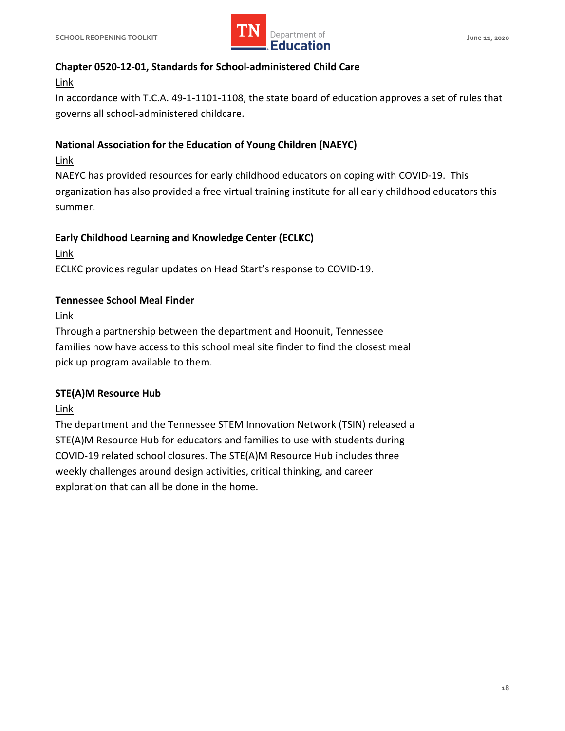

## **Chapter 0520-12-01, Standards for School-administered Child Care**

## [Link](https://www.tn.gov/content/dam/tn/stateboardofeducation/documents/pendingrules/0520-12-01%20Standards%20for%20School%20Administered%20Child%20Care%20Programs%2010-19-18.pdf)

 In accordance with T.C.A. 49-1-1101-1108, the state board of education approves a set of rules that governs all school-administered childcare.

## **National Association for the Education of Young Children (NAEYC)**

## [Link](https://www.naeyc.org/)

 NAEYC has provided resources for early childhood educators on coping with COVID-19. This organization has also provided a free virtual training institute for all early childhood educators this summer.

## **Early Childhood Learning and Knowledge Center (ECLKC)**

[Link](https://eclkc.ohs.acf.hhs.gov/about-us/coronavirus/responding-covid-19) 

ECLKC provides regular updates on Head Start's response to COVID-19.

## **Tennessee School Meal Finder**

[Link](https://schoolmealfinder.hoonuit.com/) 

 Through a partnership between the department and Hoonuit, Tennessee families now have access to this school meal site finder to find the closest meal pick up program available to them.

## **STE(A)M Resource Hub**

[Link](https://www.tsin.org/covid-19-steam-resource-hub) 

 The department and the Tennessee STEM Innovation Network (TSIN) released a STE(A)M Resource Hub for educators and families to use with students during COVID-19 related school closures. The STE(A)M Resource Hub includes three weekly challenges around design activities, critical thinking, and career exploration that can all be done in the home.